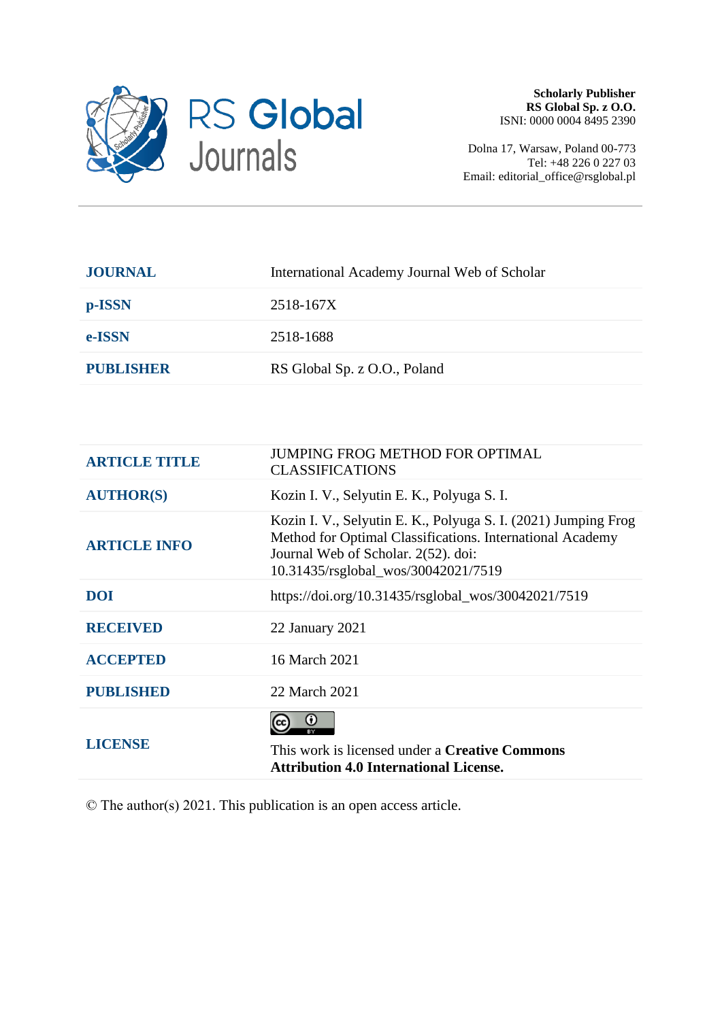

Dolna 17, Warsaw, Poland 00-773 Tel: +48 226 0 227 03 Email: editorial\_office@rsglobal.pl

| <b>JOURNAL</b>   | International Academy Journal Web of Scholar |
|------------------|----------------------------------------------|
| p-ISSN           | 2518-167X                                    |
| e-ISSN           | 2518-1688                                    |
| <b>PUBLISHER</b> | RS Global Sp. z O.O., Poland                 |
|                  |                                              |

| <b>ARTICLE TITLE</b> | <b>JUMPING FROG METHOD FOR OPTIMAL</b><br><b>CLASSIFICATIONS</b>                                                                                                                                          |  |  |  |  |  |
|----------------------|-----------------------------------------------------------------------------------------------------------------------------------------------------------------------------------------------------------|--|--|--|--|--|
| <b>AUTHOR(S)</b>     | Kozin I. V., Selyutin E. K., Polyuga S. I.                                                                                                                                                                |  |  |  |  |  |
| <b>ARTICLE INFO</b>  | Kozin I. V., Selyutin E. K., Polyuga S. I. (2021) Jumping Frog<br>Method for Optimal Classifications. International Academy<br>Journal Web of Scholar. 2(52). doi:<br>10.31435/rsglobal_wos/30042021/7519 |  |  |  |  |  |
| <b>DOI</b>           | https://doi.org/10.31435/rsglobal_wos/30042021/7519                                                                                                                                                       |  |  |  |  |  |
| <b>RECEIVED</b>      | 22 January 2021                                                                                                                                                                                           |  |  |  |  |  |
| <b>ACCEPTED</b>      | 16 March 2021                                                                                                                                                                                             |  |  |  |  |  |
| <b>PUBLISHED</b>     | 22 March 2021                                                                                                                                                                                             |  |  |  |  |  |
| <b>LICENSE</b>       | O<br>This work is licensed under a <b>Creative Commons</b><br><b>Attribution 4.0 International License.</b>                                                                                               |  |  |  |  |  |

© The author(s) 2021. This publication is an open access article.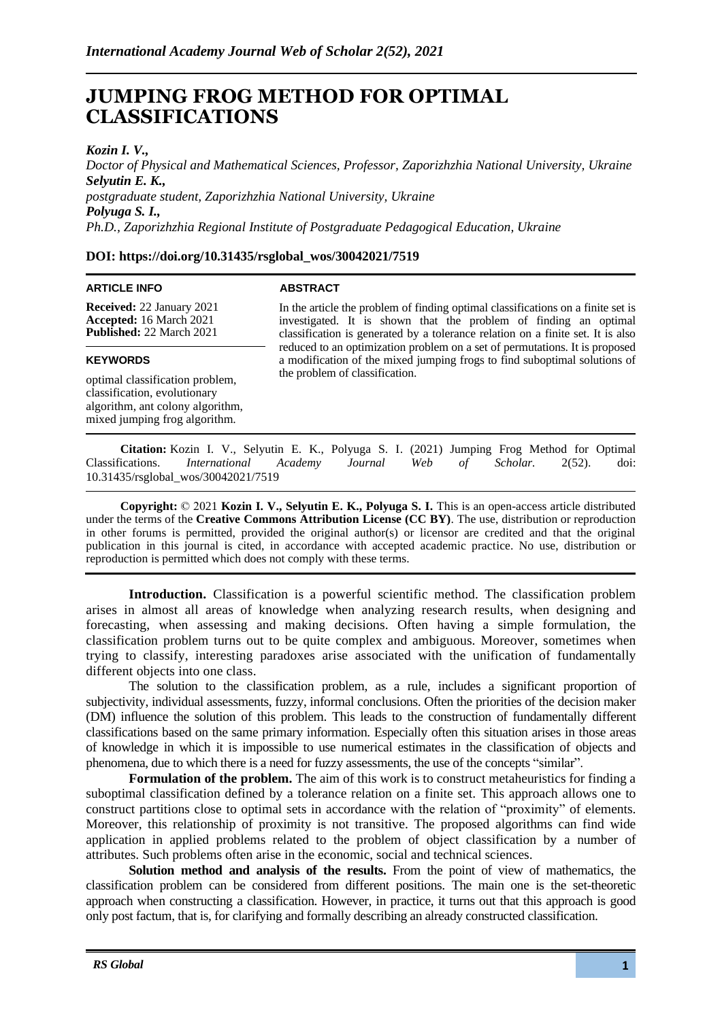# **JUMPING FROG METHOD FOR OPTIMAL CLASSIFICATIONS**

*Kozin I. V.,* 

*Doctor of Physical and Mathematical Sciences, Professor, Zaporizhzhia National University, Ukraine Selyutin E. K., postgraduate student, Zaporizhzhia National University, Ukraine Polyuga S. I., Ph.D., Zaporizhzhia Regional Institute of Postgraduate Pedagogical Education, Ukraine*

# **DOI: https://doi.org/10.31435/rsglobal\_wos/30042021/7519**

#### **ARTICLE INFO**

# **ABSTRACT**

**Received:** 22 January 2021 **Accepted:** 16 March 2021 **Published:** 22 March 2021

# **KEYWORDS**

optimal classification problem, classification, evolutionary algorithm, ant colony algorithm, mixed jumping frog algorithm.

In the article the problem of finding optimal classifications on a finite set is investigated. It is shown that the problem of finding an optimal classification is generated by a tolerance relation on a finite set. It is also reduced to an optimization problem on a set of permutations. It is proposed a modification of the mixed jumping frogs to find suboptimal solutions of the problem of classification.

**Citation:** Kozin I. V., Selyutin E. K., Polyuga S. I. (2021) Jumping Frog Method for Optimal Classifications. *International Academy Journal Web of Scholar.* 2(52). doi: 10.31435/rsglobal\_wos/30042021/7519

**Copyright:** © 2021 **Kozin I. V., Selyutin E. K., Polyuga S. I.** This is an open-access article distributed under the terms of the **Creative Commons Attribution License (CC BY)**. The use, distribution or reproduction in other forums is permitted, provided the original author(s) or licensor are credited and that the original publication in this journal is cited, in accordance with accepted academic practice. No use, distribution or reproduction is permitted which does not comply with these terms.

**Introduction.** Classification is a powerful scientific method. The classification problem arises in almost all areas of knowledge when analyzing research results, when designing and forecasting, when assessing and making decisions. Often having a simple formulation, the classification problem turns out to be quite complex and ambiguous. Moreover, sometimes when trying to classify, interesting paradoxes arise associated with the unification of fundamentally different objects into one class.

The solution to the classification problem, as a rule, includes a significant proportion of subjectivity, individual assessments, fuzzy, informal conclusions. Often the priorities of the decision maker (DM) influence the solution of this problem. This leads to the construction of fundamentally different classifications based on the same primary information. Especially often this situation arises in those areas of knowledge in which it is impossible to use numerical estimates in the classification of objects and phenomena, due to which there is a need for fuzzy assessments, the use of the concepts "similar".

**Formulation of the problem.** The aim of this work is to construct metaheuristics for finding a suboptimal classification defined by a tolerance relation on a finite set. This approach allows one to construct partitions close to optimal sets in accordance with the relation of "proximity" of elements. Moreover, this relationship of proximity is not transitive. The proposed algorithms can find wide application in applied problems related to the problem of object classification by a number of attributes. Such problems often arise in the economic, social and technical sciences.

**Solution method and analysis of the results.** From the point of view of mathematics, the classification problem can be considered from different positions. The main one is the set-theoretic approach when constructing a classification. However, in practice, it turns out that this approach is good only post factum, that is, for clarifying and formally describing an already constructed classification.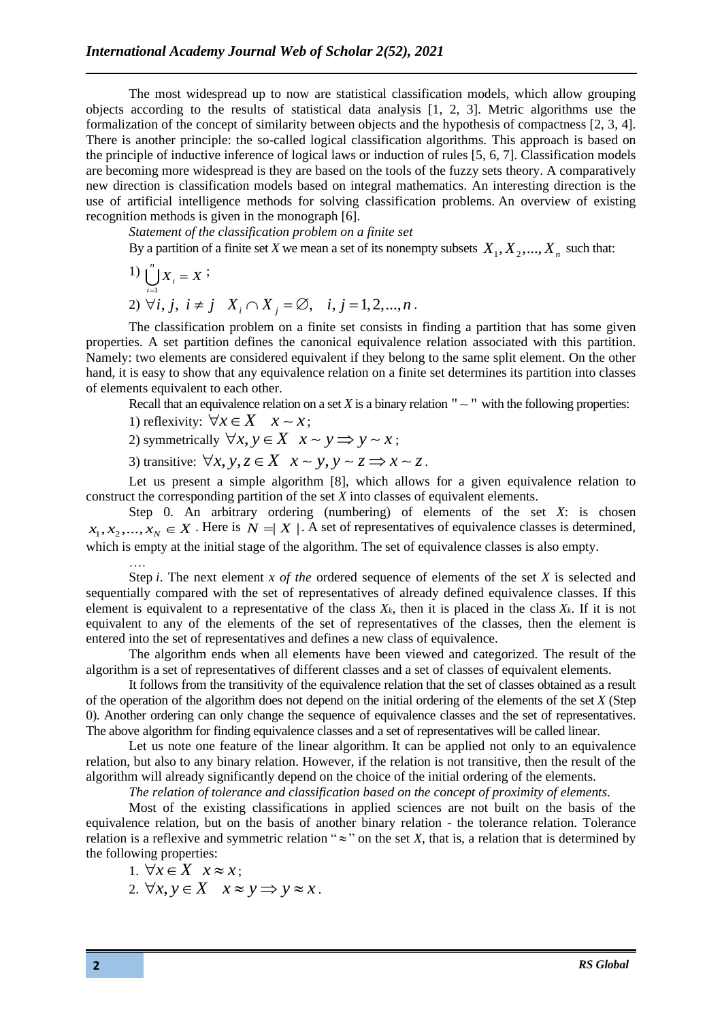The most widespread up to now are statistical classification models, which allow grouping objects according to the results of statistical data analysis [1, 2, 3]. Metric algorithms use the formalization of the concept of similarity between objects and the hypothesis of compactness [2, 3, 4]. There is another principle: the so-called logical classification algorithms. This approach is based on the principle of inductive inference of logical laws or induction of rules [5, 6, 7]. Classification models are becoming more widespread is they are based on the tools of the fuzzy sets theory. A comparatively new direction is classification models based on integral mathematics. An interesting direction is the use of artificial intelligence methods for solving classification problems. An overview of existing recognition methods is given in the monograph [6].

*Statement of the classification problem on a finite set*

By a partition of a finite set *X* we mean a set of its nonempty subsets  $X_1, X_2, ..., X_n$  such that:

1) 
$$
\bigcup_{i=1}^{n} X_i = X
$$
;  
2)  $\forall i, j, i \neq j$   $X_i \cap X_j = \emptyset$ ,  $i, j = 1, 2, ..., n$ .

The classification problem on a finite set consists in finding a partition that has some given properties. A set partition defines the canonical equivalence relation associated with this partition. Namely: two elements are considered equivalent if they belong to the same split element. On the other hand, it is easy to show that any equivalence relation on a finite set determines its partition into classes of elements equivalent to each other.

Recall that an equivalence relation on a set *X* is a binary relation " $\sim$ " with the following properties:

1) reflexivity:  $\forall x \in X \quad x \sim x$ ;

2) symmetrically  $\forall x, y \in X \quad x \sim y \Longrightarrow y \sim x$ ;

3) transitive:  $\forall x, y, z \in X \quad x \sim y, y \sim z \Longrightarrow x \sim z$ .

Let us present a simple algorithm [8], which allows for a given equivalence relation to construct the corresponding partition of the set *X* into classes of equivalent elements.

Step 0. An arbitrary ordering (numbering) of elements of the set *X*: is chosen  $x_1, x_2, \dots, x_N \in X$ . Here is  $N = |X|$ . A set of representatives of equivalence classes is determined, which is empty at the initial stage of the algorithm. The set of equivalence classes is also empty. ….

Step *i*. The next element *x of the* ordered sequence of elements of the set *X* is selected and sequentially compared with the set of representatives of already defined equivalence classes. If this element is equivalent to a representative of the class  $X_k$ , then it is placed in the class  $X_k$ . If it is not equivalent to any of the elements of the set of representatives of the classes, then the element is entered into the set of representatives and defines a new class of equivalence.

The algorithm ends when all elements have been viewed and categorized. The result of the algorithm is a set of representatives of different classes and a set of classes of equivalent elements.

It follows from the transitivity of the equivalence relation that the set of classes obtained as a result of the operation of the algorithm does not depend on the initial ordering of the elements of the set *X* (Step 0). Another ordering can only change the sequence of equivalence classes and the set of representatives. The above algorithm for finding equivalence classes and a set of representatives will be called linear.

Let us note one feature of the linear algorithm. It can be applied not only to an equivalence relation, but also to any binary relation. However, if the relation is not transitive, then the result of the algorithm will already significantly depend on the choice of the initial ordering of the elements.

*The relation of tolerance and classification based on the concept of proximity of elements.*

Most of the existing classifications in applied sciences are not built on the basis of the equivalence relation, but on the basis of another binary relation - the tolerance relation. Tolerance relation is a reflexive and symmetric relation " $\approx$ " on the set *X*, that is, a relation that is determined by the following properties:

- 1.  $\forall x \in X \quad x \approx x;$
- 2.  $\forall x, y \in X \quad x \approx y \implies y \approx x$ .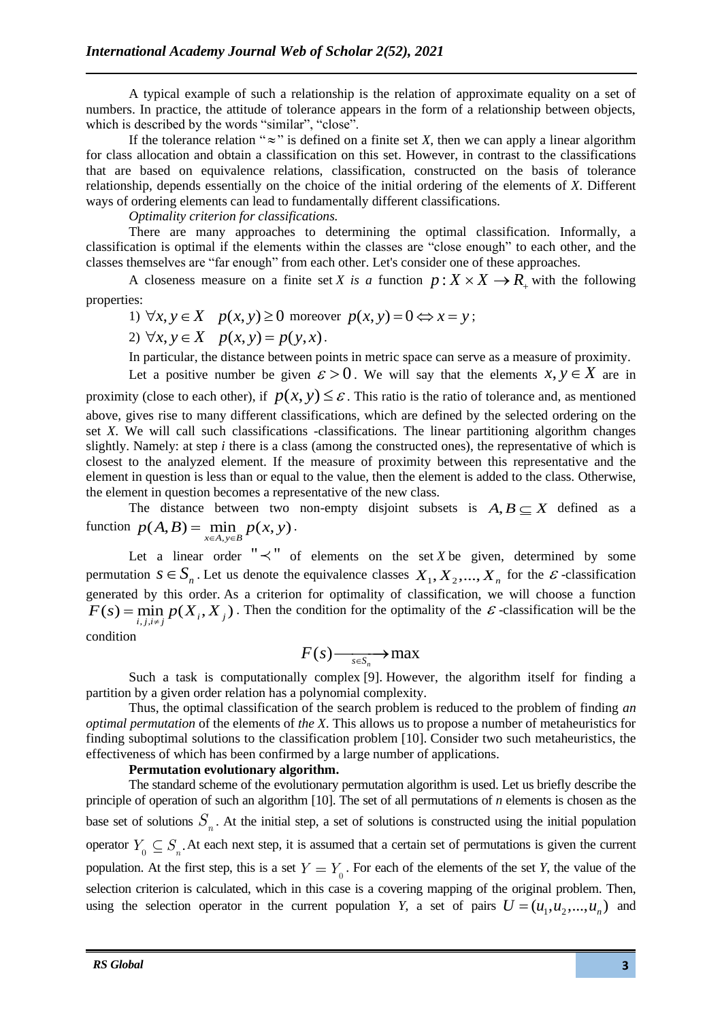A typical example of such a relationship is the relation of approximate equality on a set of numbers. In practice, the attitude of tolerance appears in the form of a relationship between objects, which is described by the words "similar", "close".

If the tolerance relation " $\approx$ " is defined on a finite set *X*, then we can apply a linear algorithm for class allocation and obtain a classification on this set. However, in contrast to the classifications that are based on equivalence relations, classification, constructed on the basis of tolerance relationship, depends essentially on the choice of the initial ordering of the elements of *X*. Different ways of ordering elements can lead to fundamentally different classifications.

*Optimality criterion for classifications.*

There are many approaches to determining the optimal classification. Informally, a classification is optimal if the elements within the classes are "close enough" to each other, and the classes themselves are "far enough" from each other. Let's consider one of these approaches.

A closeness measure on a finite set *X* is a function  $p: X \times X \rightarrow R$ , with the following properties:

- 1)  $\forall x, y \in X \quad p(x, y) \ge 0$  moreover  $p(x, y) = 0 \Leftrightarrow x = y$ ;
- 2)  $\forall x, y \in X \quad p(x, y) = p(y, x)$ .

In particular, the distance between points in metric space can serve as a measure of proximity.

Let a positive number be given  $\varepsilon > 0$ . We will say that the elements  $x, y \in X$  are in proximity (close to each other), if  $p(x, y) \leq \varepsilon$ . This ratio is the ratio of tolerance and, as mentioned above, gives rise to many different classifications, which are defined by the selected ordering on the set *X*. We will call such classifications -classifications. The linear partitioning algorithm changes slightly. Namely: at step *i* there is a class (among the constructed ones), the representative of which is closest to the analyzed element. If the measure of proximity between this representative and the element in question is less than or equal to the value, then the element is added to the class. Otherwise, the element in question becomes a representative of the new class.

The distance between two non-empty disjoint subsets is  $A, B \subseteq X$  defined as a function  $p(A, B) = \min_{x \in A, y \in B} p(x, y)$  $=$  min  $p(x, y)$ .

Let a linear order " $\prec$ " of elements on the set *X* be given, determined by some permutation  $s \in S_n$ . Let us denote the equivalence classes  $X_1, X_2, ..., X_n$  for the  $\varepsilon$ -classification generated by this order. As a criterion for optimality of classification, we will choose a function ,,,  $F(s) = \min_{i,j,i \neq j} p(X_i, X_j)$ . Then the condition for the optimality of the  $\varepsilon$ -classification will be the ≠

condition

$$
F(s) \longrightarrow_{s \in S_n} \mathfrak{m} \text{a} \mathbf{x}
$$

Such a task is computationally complex [9]. However, the algorithm itself for finding a partition by a given order relation has a polynomial complexity.

Thus, the optimal classification of the search problem is reduced to the problem of finding *an optimal permutation* of the elements of *the X*. This allows us to propose a number of metaheuristics for finding suboptimal solutions to the classification problem [10]. Consider two such metaheuristics, the effectiveness of which has been confirmed by a large number of applications.

# **Permutation evolutionary algorithm.**

The standard scheme of the evolutionary permutation algorithm is used. Let us briefly describe the principle of operation of such an algorithm [10]. The set of all permutations of *n* elements is chosen as the base set of solutions  $S_n$ . At the initial step, a set of solutions is constructed using the initial population operator  $Y_0 \subseteq S_n$ . At each next step, it is assumed that a certain set of permutations is given the current population. At the first step, this is a set  $Y = Y_0$ . For each of the elements of the set *Y*, the value of the selection criterion is calculated, which in this case is a covering mapping of the original problem. Then, using the selection operator in the current population *Y*, a set of pairs  $U = (u_1, u_2, ..., u_n)$  and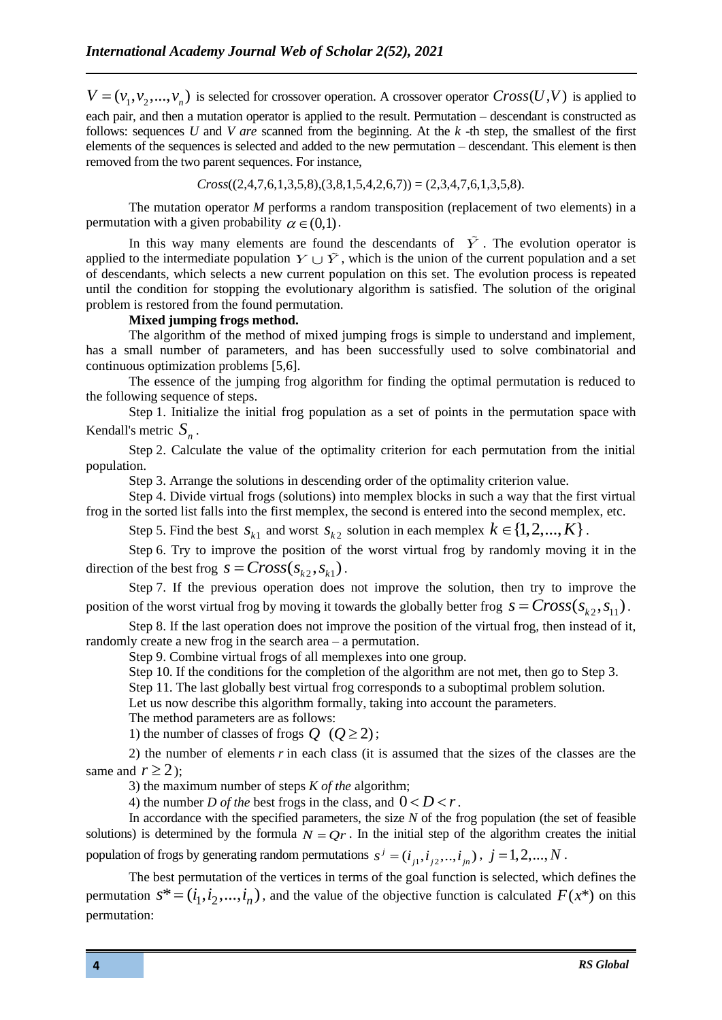$V = (v_1, v_2, ..., v_n)$  is selected for crossover operation. A crossover operator  $Cross(U, V)$  is applied to each pair, and then a mutation operator is applied to the result. Permutation – descendant is constructed as follows: sequences *U* and *V are* scanned from the beginning. At the *k* -th step, the smallest of the first elements of the sequences is selected and added to the new permutation – descendant. This element is then removed from the two parent sequences. For instance,

$$
Cross((2, 4, 7, 6, 1, 3, 5, 8), (3, 8, 1, 5, 4, 2, 6, 7)) = (2, 3, 4, 7, 6, 1, 3, 5, 8).
$$

The mutation operator *M* performs a random transposition (replacement of two elements) in a permutation with a given probability  $\alpha \in (0,1)$ .

In this way many elements are found the descendants of  $\overline{Y}$ . The evolution operator is applied to the intermediate population  $Y \cup \tilde{Y}$ , which is the union of the current population and a set of descendants, which selects a new current population on this set. The evolution process is repeated until the condition for stopping the evolutionary algorithm is satisfied. The solution of the original problem is restored from the found permutation.

#### **Mixed jumping frogs method.**

The algorithm of the method of mixed jumping frogs is simple to understand and implement, has a small number of parameters, and has been successfully used to solve combinatorial and continuous optimization problems [5,6].

The essence of the jumping frog algorithm for finding the optimal permutation is reduced to the following sequence of steps.

Step 1. Initialize the initial frog population as a set of points in the permutation space with Kendall's metric  $S_n$ .

Step 2. Calculate the value of the optimality criterion for each permutation from the initial population.

Step 3. Arrange the solutions in descending order of the optimality criterion value.

Step 4. Divide virtual frogs (solutions) into memplex blocks in such a way that the first virtual frog in the sorted list falls into the first memplex, the second is entered into the second memplex, etc.

Step 5. Find the best  $s_{k1}$  and worst  $s_{k2}$  solution in each memplex  $k \in \{1, 2, ..., K\}$ .

Step 6. Try to improve the position of the worst virtual frog by randomly moving it in the direction of the best frog  $s = Cross(s_{k2}, s_{k1})$ .

Step 7. If the previous operation does not improve the solution, then try to improve the position of the worst virtual frog by moving it towards the globally better frog  $s = Cross(s_{k2}, s_{11})$ .

Step 8. If the last operation does not improve the position of the virtual frog, then instead of it, randomly create a new frog in the search area – a permutation.

Step 9. Combine virtual frogs of all memplexes into one group.

Step 10. If the conditions for the completion of the algorithm are not met, then go to Step 3.

Step 11. The last globally best virtual frog corresponds to a suboptimal problem solution.

Let us now describe this algorithm formally, taking into account the parameters.

The method parameters are as follows:

1) the number of classes of frogs  $Q$  ( $Q \ge 2$ );

2) the number of elements *r* in each class (it is assumed that the sizes of the classes are the same and  $r \ge 2$ );

3) the maximum number of steps *K of the* algorithm;

4) the number *D of the* best frogs in the class, and  $0 < D < r$ .

In accordance with the specified parameters, the size *N* of the frog population (the set of feasible solutions) is determined by the formula  $N = Qr$ . In the initial step of the algorithm creates the initial population of frogs by generating random permutations  $s^j = (i_{j1}, i_{j2}, \ldots, i_{jn})$ ,  $j = 1, 2, \ldots, N$ .

The best permutation of the vertices in terms of the goal function is selected, which defines the permutation  $s^* = (i_1, i_2, ..., i_n)$ , and the value of the objective function is calculated  $F(x^*)$  on this permutation: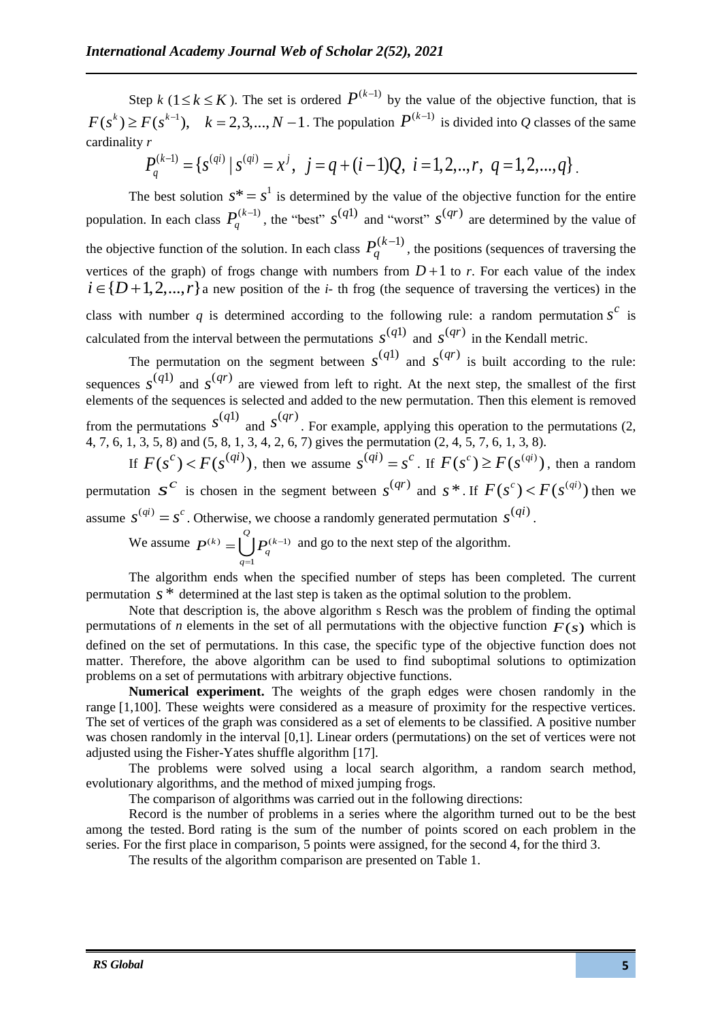Step *k* ( $1 \le k \le K$ ). The set is ordered  $P^{(k-1)}$  by the value of the objective function, that is  $F(s^k) \ge F(s^{k-1}), \quad k = 2, 3, ..., N-1$ . The population  $P^{(k-1)}$  is divided into Q classes of the same cardinality *r*

$$
P_q^{(k-1)} = \{ s^{(qi)} | s^{(qi)} = x^j, j = q + (i-1)Q, i = 1, 2, ..., r, q = 1, 2, ..., q \}.
$$

The best solution  $s^* = s^1$  is determined by the value of the objective function for the entire population. In each class  $P_q^{(k-1)}$  $(s^{-1})$ , the "best"  $s^{(q1)}$  and "worst"  $s^{(qr)}$  are determined by the value of the objective function of the solution. In each class  $P_q^{(k-1)}$ , the positions (sequences of traversing the vertices of the graph) of frogs change with numbers from  $D+1$  to r. For each value of the index  $i \in \{D+1, 2, ..., r\}$  a new position of the *i*-th frog (the sequence of traversing the vertices) in the class with number q is determined according to the following rule: a random permutation  $s^c$  is calculated from the interval between the permutations  $s^{(q1)}$  and  $s^{(qr)}$  in the Kendall metric.

The permutation on the segment between  $s^{(q1)}$  and  $s^{(qr)}$  is built according to the rule: sequences  $s^{(q1)}$  and  $s^{(qr)}$  are viewed from left to right. At the next step, the smallest of the first elements of the sequences is selected and added to the new permutation. Then this element is removed from the permutations  $s^{(q_1)}$  and  $s^{(qr)}$ . For example, applying this operation to the permutations (2, 4, 7, 6, 1, 3, 5, 8) and (5, 8, 1, 3, 4, 2, 6, 7) gives the permutation (2, 4, 5, 7, 6, 1, 3, 8).

If  $F(s^c) < F(s^{(qi)})$ , then we assume  $s^{(qi)} = s^c$ . If  $F(s^c) \ge F(s^{(qi)})$ , then a random permutation  $s^c$  is chosen in the segment between  $s^{(qr)}$  and  $s^*$ . If  $F(s^c) < F(s^{(qi)})$  then we assume  $s^{(qi)} = s^c$ . Otherwise, we choose a randomly generated permutation  $s^{(qi)}$ .

We assume  $P^{(k)} = \begin{bmatrix} P^{(k-1)} \end{bmatrix}$ 1  $(k)$   $\left| \begin{array}{c} Q \\ | \\ | \end{array} \right|$ *q q*  $P^{(k)} = |$  |  $P^{(k)}$  $=\int \int P_{n}^{(k-1)}$  and go to the next step of the algorithm.

The algorithm ends when the specified number of steps has been completed. The current permutation *<sup>s</sup>* \* determined at the last step is taken as the optimal solution to the problem.

Note that description is, the above algorithm s Resch was the problem of finding the optimal permutations of *n* elements in the set of all permutations with the objective function  $F(s)$  which is defined on the set of permutations. In this case, the specific type of the objective function does not matter. Therefore, the above algorithm can be used to find suboptimal solutions to optimization problems on a set of permutations with arbitrary objective functions.

**Numerical experiment.** The weights of the graph edges were chosen randomly in the range [1,100]. These weights were considered as a measure of proximity for the respective vertices. The set of vertices of the graph was considered as a set of elements to be classified. A positive number was chosen randomly in the interval [0,1]. Linear orders (permutations) on the set of vertices were not adjusted using the Fisher-Yates shuffle algorithm [17].

The problems were solved using a local search algorithm, a random search method, evolutionary algorithms, and the method of mixed jumping frogs.

The comparison of algorithms was carried out in the following directions:

Record is the number of problems in a series where the algorithm turned out to be the best among the tested. Bord rating is the sum of the number of points scored on each problem in the series. For the first place in comparison, 5 points were assigned, for the second 4, for the third 3.

The results of the algorithm comparison are presented on Table 1.